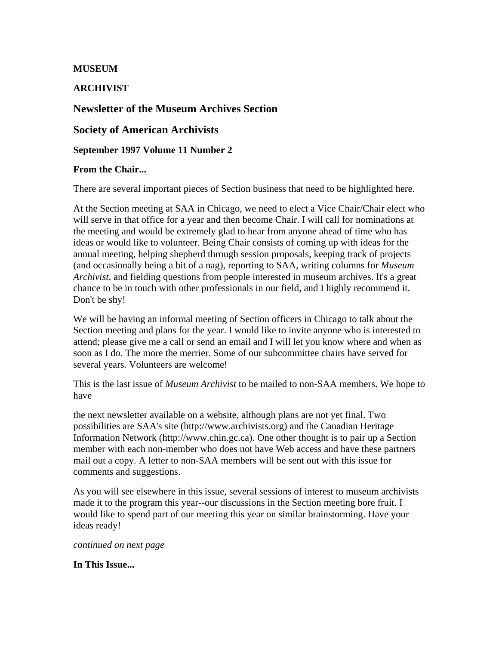### **MUSEUM**

### **ARCHIVIST**

### **Newsletter of the Museum Archives Section**

#### **Society of American Archivists**

**September 1997 Volume 11 Number 2** 

#### **From the Chair...**

There are several important pieces of Section business that need to be highlighted here.

At the Section meeting at SAA in Chicago, we need to elect a Vice Chair/Chair elect who will serve in that office for a year and then become Chair. I will call for nominations at the meeting and would be extremely glad to hear from anyone ahead of time who has ideas or would like to volunteer. Being Chair consists of coming up with ideas for the annual meeting, helping shepherd through session proposals, keeping track of projects (and occasionally being a bit of a nag), reporting to SAA, writing columns for *Museum Archivist*, and fielding questions from people interested in museum archives. It's a great chance to be in touch with other professionals in our field, and I highly recommend it. Don't be shy!

We will be having an informal meeting of Section officers in Chicago to talk about the Section meeting and plans for the year. I would like to invite anyone who is interested to attend; please give me a call or send an email and I will let you know where and when as soon as I do. The more the merrier. Some of our subcommittee chairs have served for several years. Volunteers are welcome!

This is the last issue of *Museum Archivist* to be mailed to non-SAA members. We hope to have

the next newsletter available on a website, although plans are not yet final. Two possibilities are SAA's site (http://www.archivists.org) and the Canadian Heritage Information Network (http://www.chin.gc.ca). One other thought is to pair up a Section member with each non-member who does not have Web access and have these partners mail out a copy. A letter to non-SAA members will be sent out with this issue for comments and suggestions.

As you will see elsewhere in this issue, several sessions of interest to museum archivists made it to the program this year--our discussions in the Section meeting bore fruit. I would like to spend part of our meeting this year on similar brainstorming. Have your ideas ready!

*continued on next page*

**In This Issue...**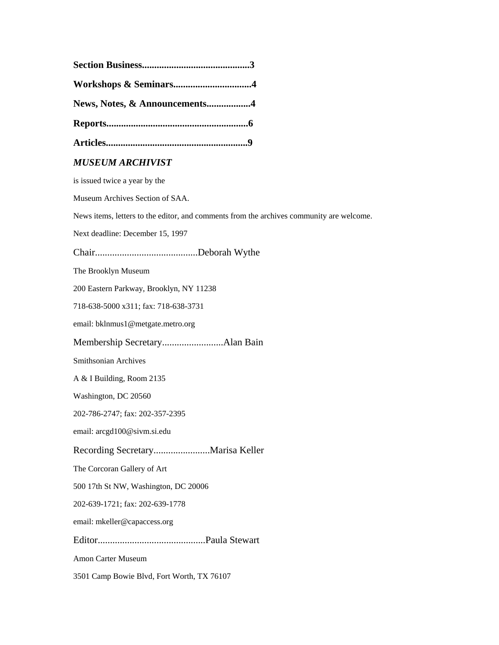| News, Notes, & Announcements4                                                            |
|------------------------------------------------------------------------------------------|
|                                                                                          |
|                                                                                          |
| <b>MUSEUM ARCHIVIST</b>                                                                  |
| is issued twice a year by the                                                            |
| Museum Archives Section of SAA.                                                          |
| News items, letters to the editor, and comments from the archives community are welcome. |
| Next deadline: December 15, 1997                                                         |
|                                                                                          |
| The Brooklyn Museum                                                                      |
| 200 Eastern Parkway, Brooklyn, NY 11238                                                  |
| 718-638-5000 x311; fax: 718-638-3731                                                     |
| email: bklnmus1@metgate.metro.org                                                        |
|                                                                                          |
| Smithsonian Archives                                                                     |
| A & I Building, Room 2135                                                                |
| Washington, DC 20560                                                                     |
| 202-786-2747; fax: 202-357-2395                                                          |
| email: arcgd100@sivm.si.edu                                                              |
|                                                                                          |
| The Corcoran Gallery of Art                                                              |
| 500 17th St NW, Washington, DC 20006                                                     |
| 202-639-1721; fax: 202-639-1778                                                          |
| email: mkeller@capaccess.org                                                             |
|                                                                                          |
| Amon Carter Museum                                                                       |
| 3501 Camp Bowie Blvd, Fort Worth, TX 76107                                               |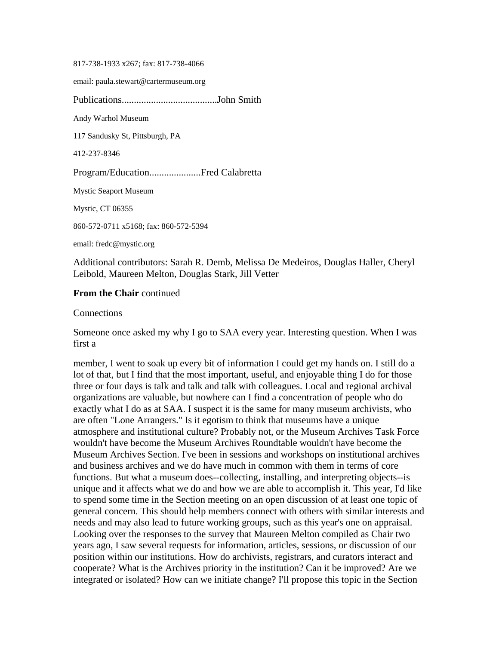817-738-1933 x267; fax: 817-738-4066

email: paula.stewart@cartermuseum.org

Publications.......................................John Smith Andy Warhol Museum 117 Sandusky St, Pittsburgh, PA 412-237-8346 Program/Education.....................Fred Calabretta Mystic Seaport Museum Mystic, CT 06355 860-572-0711 x5168; fax: 860-572-5394

email: fredc@mystic.org

Additional contributors: Sarah R. Demb, Melissa De Medeiros, Douglas Haller, Cheryl Leibold, Maureen Melton, Douglas Stark, Jill Vetter

#### **From the Chair** continued

Connections

Someone once asked my why I go to SAA every year. Interesting question. When I was first a

member, I went to soak up every bit of information I could get my hands on. I still do a lot of that, but I find that the most important, useful, and enjoyable thing I do for those three or four days is talk and talk and talk with colleagues. Local and regional archival organizations are valuable, but nowhere can I find a concentration of people who do exactly what I do as at SAA. I suspect it is the same for many museum archivists, who are often "Lone Arrangers." Is it egotism to think that museums have a unique atmosphere and institutional culture? Probably not, or the Museum Archives Task Force wouldn't have become the Museum Archives Roundtable wouldn't have become the Museum Archives Section. I've been in sessions and workshops on institutional archives and business archives and we do have much in common with them in terms of core functions. But what a museum does--collecting, installing, and interpreting objects--is unique and it affects what we do and how we are able to accomplish it. This year, I'd like to spend some time in the Section meeting on an open discussion of at least one topic of general concern. This should help members connect with others with similar interests and needs and may also lead to future working groups, such as this year's one on appraisal. Looking over the responses to the survey that Maureen Melton compiled as Chair two years ago, I saw several requests for information, articles, sessions, or discussion of our position within our institutions. How do archivists, registrars, and curators interact and cooperate? What is the Archives priority in the institution? Can it be improved? Are we integrated or isolated? How can we initiate change? I'll propose this topic in the Section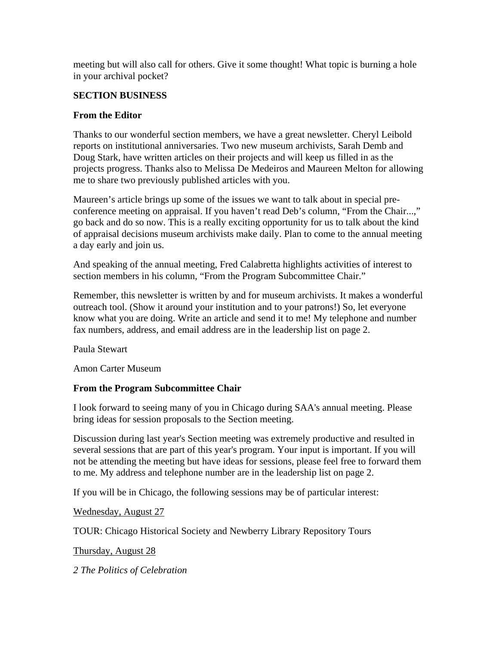meeting but will also call for others. Give it some thought! What topic is burning a hole in your archival pocket?

### **SECTION BUSINESS**

#### **From the Editor**

Thanks to our wonderful section members, we have a great newsletter. Cheryl Leibold reports on institutional anniversaries. Two new museum archivists, Sarah Demb and Doug Stark, have written articles on their projects and will keep us filled in as the projects progress. Thanks also to Melissa De Medeiros and Maureen Melton for allowing me to share two previously published articles with you.

Maureen's article brings up some of the issues we want to talk about in special preconference meeting on appraisal. If you haven't read Deb's column, "From the Chair...," go back and do so now. This is a really exciting opportunity for us to talk about the kind of appraisal decisions museum archivists make daily. Plan to come to the annual meeting a day early and join us.

And speaking of the annual meeting, Fred Calabretta highlights activities of interest to section members in his column, "From the Program Subcommittee Chair."

Remember, this newsletter is written by and for museum archivists. It makes a wonderful outreach tool. (Show it around your institution and to your patrons!) So, let everyone know what you are doing. Write an article and send it to me! My telephone and number fax numbers, address, and email address are in the leadership list on page 2.

Paula Stewart

Amon Carter Museum

# **From the Program Subcommittee Chair**

I look forward to seeing many of you in Chicago during SAA's annual meeting. Please bring ideas for session proposals to the Section meeting.

Discussion during last year's Section meeting was extremely productive and resulted in several sessions that are part of this year's program. Your input is important. If you will not be attending the meeting but have ideas for sessions, please feel free to forward them to me. My address and telephone number are in the leadership list on page 2.

If you will be in Chicago, the following sessions may be of particular interest:

Wednesday, August 27

TOUR: Chicago Historical Society and Newberry Library Repository Tours

Thursday, August 28

*2 The Politics of Celebration*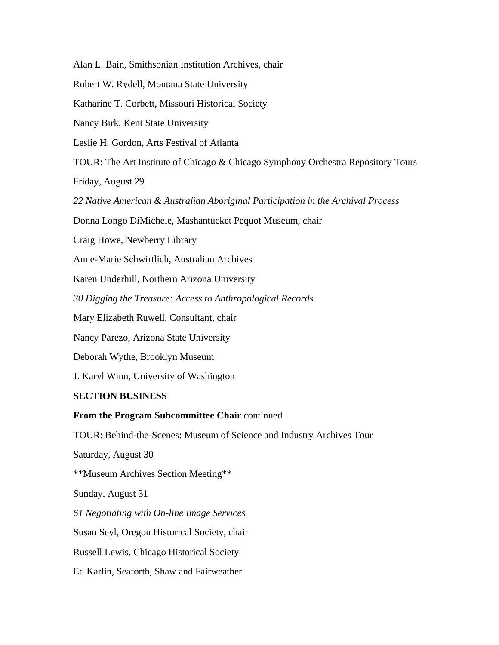Alan L. Bain, Smithsonian Institution Archives, chair

Robert W. Rydell, Montana State University

Katharine T. Corbett, Missouri Historical Society

Nancy Birk, Kent State University

Leslie H. Gordon, Arts Festival of Atlanta

TOUR: The Art Institute of Chicago & Chicago Symphony Orchestra Repository Tours

Friday, August 29

*22 Native American & Australian Aboriginal Participation in the Archival Process* 

Donna Longo DiMichele, Mashantucket Pequot Museum, chair

Craig Howe, Newberry Library

Anne-Marie Schwirtlich, Australian Archives

Karen Underhill, Northern Arizona University

*30 Digging the Treasure: Access to Anthropological Records* 

Mary Elizabeth Ruwell, Consultant, chair

Nancy Parezo, Arizona State University

Deborah Wythe, Brooklyn Museum

J. Karyl Winn, University of Washington

#### **SECTION BUSINESS**

#### **From the Program Subcommittee Chair** continued

TOUR: Behind-the-Scenes: Museum of Science and Industry Archives Tour

Saturday, August 30

\*\*Museum Archives Section Meeting\*\*

Sunday, August 31

*61 Negotiating with On-line Image Services* 

Susan Seyl, Oregon Historical Society, chair

Russell Lewis, Chicago Historical Society

Ed Karlin, Seaforth, Shaw and Fairweather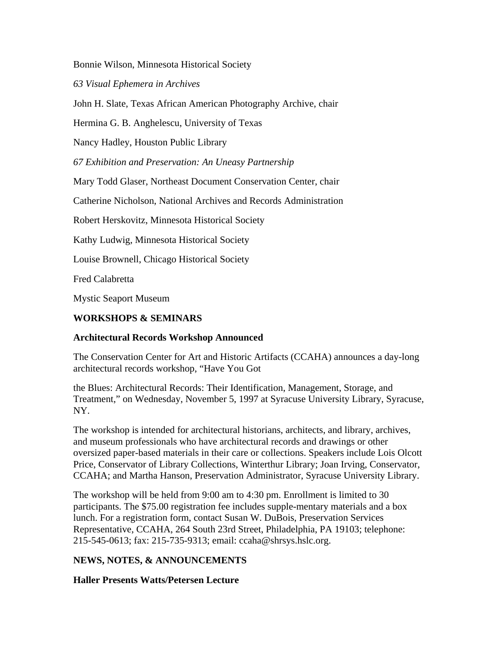Bonnie Wilson, Minnesota Historical Society

*63 Visual Ephemera in Archives* 

John H. Slate, Texas African American Photography Archive, chair

Hermina G. B. Anghelescu, University of Texas

Nancy Hadley, Houston Public Library

*67 Exhibition and Preservation: An Uneasy Partnership* 

Mary Todd Glaser, Northeast Document Conservation Center, chair

Catherine Nicholson, National Archives and Records Administration

Robert Herskovitz, Minnesota Historical Society

Kathy Ludwig, Minnesota Historical Society

Louise Brownell, Chicago Historical Society

Fred Calabretta

Mystic Seaport Museum

#### **WORKSHOPS & SEMINARS**

#### **Architectural Records Workshop Announced**

The Conservation Center for Art and Historic Artifacts (CCAHA) announces a day-long architectural records workshop, "Have You Got

the Blues: Architectural Records: Their Identification, Management, Storage, and Treatment," on Wednesday, November 5, 1997 at Syracuse University Library, Syracuse, NY.

The workshop is intended for architectural historians, architects, and library, archives, and museum professionals who have architectural records and drawings or other oversized paper-based materials in their care or collections. Speakers include Lois Olcott Price, Conservator of Library Collections, Winterthur Library; Joan Irving, Conservator, CCAHA; and Martha Hanson, Preservation Administrator, Syracuse University Library.

The workshop will be held from 9:00 am to 4:30 pm. Enrollment is limited to 30 participants. The \$75.00 registration fee includes supple-mentary materials and a box lunch. For a registration form, contact Susan W. DuBois, Preservation Services Representative, CCAHA, 264 South 23rd Street, Philadelphia, PA 19103; telephone: 215-545-0613; fax: 215-735-9313; email: ccaha@shrsys.hslc.org.

# **NEWS, NOTES, & ANNOUNCEMENTS**

# **Haller Presents Watts/Petersen Lecture**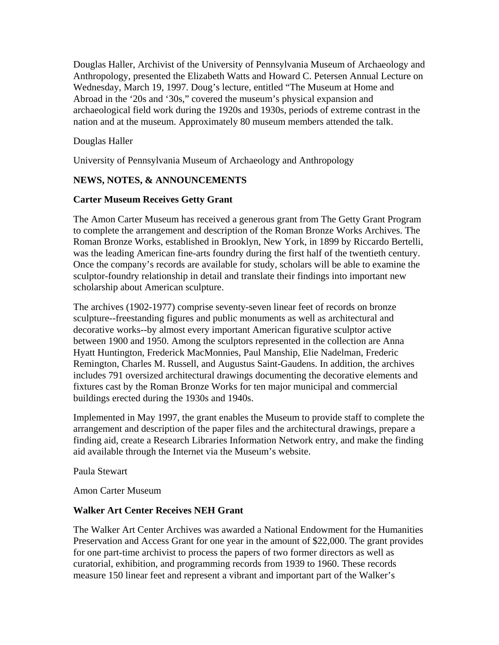Douglas Haller, Archivist of the University of Pennsylvania Museum of Archaeology and Anthropology, presented the Elizabeth Watts and Howard C. Petersen Annual Lecture on Wednesday, March 19, 1997. Doug's lecture, entitled "The Museum at Home and Abroad in the '20s and '30s," covered the museum's physical expansion and archaeological field work during the 1920s and 1930s, periods of extreme contrast in the nation and at the museum. Approximately 80 museum members attended the talk.

Douglas Haller

University of Pennsylvania Museum of Archaeology and Anthropology

# **NEWS, NOTES, & ANNOUNCEMENTS**

# **Carter Museum Receives Getty Grant**

The Amon Carter Museum has received a generous grant from The Getty Grant Program to complete the arrangement and description of the Roman Bronze Works Archives. The Roman Bronze Works, established in Brooklyn, New York, in 1899 by Riccardo Bertelli, was the leading American fine-arts foundry during the first half of the twentieth century. Once the company's records are available for study, scholars will be able to examine the sculptor-foundry relationship in detail and translate their findings into important new scholarship about American sculpture.

The archives (1902-1977) comprise seventy-seven linear feet of records on bronze sculpture--freestanding figures and public monuments as well as architectural and decorative works--by almost every important American figurative sculptor active between 1900 and 1950. Among the sculptors represented in the collection are Anna Hyatt Huntington, Frederick MacMonnies, Paul Manship, Elie Nadelman, Frederic Remington, Charles M. Russell, and Augustus Saint-Gaudens. In addition, the archives includes 791 oversized architectural drawings documenting the decorative elements and fixtures cast by the Roman Bronze Works for ten major municipal and commercial buildings erected during the 1930s and 1940s.

Implemented in May 1997, the grant enables the Museum to provide staff to complete the arrangement and description of the paper files and the architectural drawings, prepare a finding aid, create a Research Libraries Information Network entry, and make the finding aid available through the Internet via the Museum's website.

Paula Stewart

Amon Carter Museum

# **Walker Art Center Receives NEH Grant**

The Walker Art Center Archives was awarded a National Endowment for the Humanities Preservation and Access Grant for one year in the amount of \$22,000. The grant provides for one part-time archivist to process the papers of two former directors as well as curatorial, exhibition, and programming records from 1939 to 1960. These records measure 150 linear feet and represent a vibrant and important part of the Walker's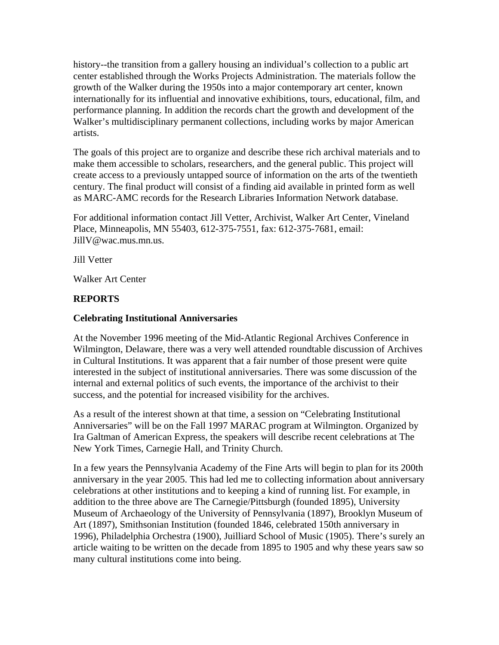history--the transition from a gallery housing an individual's collection to a public art center established through the Works Projects Administration. The materials follow the growth of the Walker during the 1950s into a major contemporary art center, known internationally for its influential and innovative exhibitions, tours, educational, film, and performance planning. In addition the records chart the growth and development of the Walker's multidisciplinary permanent collections, including works by major American artists.

The goals of this project are to organize and describe these rich archival materials and to make them accessible to scholars, researchers, and the general public. This project will create access to a previously untapped source of information on the arts of the twentieth century. The final product will consist of a finding aid available in printed form as well as MARC-AMC records for the Research Libraries Information Network database.

For additional information contact Jill Vetter, Archivist, Walker Art Center, Vineland Place, Minneapolis, MN 55403, 612-375-7551, fax: 612-375-7681, email: JillV@wac.mus.mn.us.

Jill Vetter

Walker Art Center

# **REPORTS**

#### **Celebrating Institutional Anniversaries**

At the November 1996 meeting of the Mid-Atlantic Regional Archives Conference in Wilmington, Delaware, there was a very well attended roundtable discussion of Archives in Cultural Institutions. It was apparent that a fair number of those present were quite interested in the subject of institutional anniversaries. There was some discussion of the internal and external politics of such events, the importance of the archivist to their success, and the potential for increased visibility for the archives.

As a result of the interest shown at that time, a session on "Celebrating Institutional Anniversaries" will be on the Fall 1997 MARAC program at Wilmington. Organized by Ira Galtman of American Express, the speakers will describe recent celebrations at The New York Times, Carnegie Hall, and Trinity Church.

In a few years the Pennsylvania Academy of the Fine Arts will begin to plan for its 200th anniversary in the year 2005. This had led me to collecting information about anniversary celebrations at other institutions and to keeping a kind of running list. For example, in addition to the three above are The Carnegie/Pittsburgh (founded 1895), University Museum of Archaeology of the University of Pennsylvania (1897), Brooklyn Museum of Art (1897), Smithsonian Institution (founded 1846, celebrated 150th anniversary in 1996), Philadelphia Orchestra (1900), Juilliard School of Music (1905). There's surely an article waiting to be written on the decade from 1895 to 1905 and why these years saw so many cultural institutions come into being.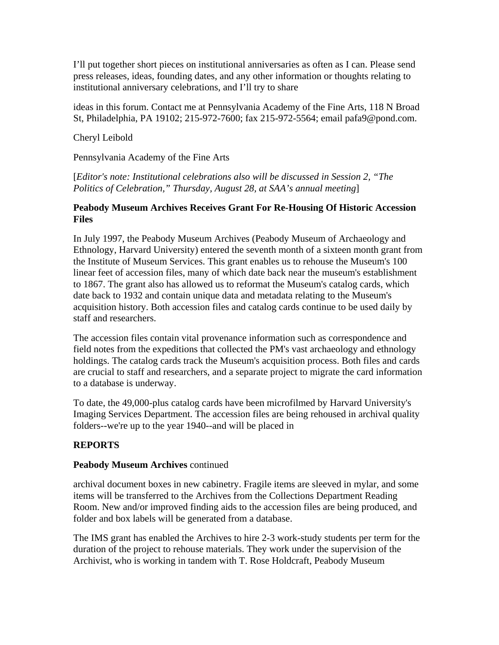I'll put together short pieces on institutional anniversaries as often as I can. Please send press releases, ideas, founding dates, and any other information or thoughts relating to institutional anniversary celebrations, and I'll try to share

ideas in this forum. Contact me at Pennsylvania Academy of the Fine Arts, 118 N Broad St, Philadelphia, PA 19102; 215-972-7600; fax 215-972-5564; email pafa9@pond.com.

#### Cheryl Leibold

Pennsylvania Academy of the Fine Arts

[*Editor's note: Institutional celebrations also will be discussed in Session 2, "The Politics of Celebration," Thursday, August 28, at SAA's annual meeting*]

#### **Peabody Museum Archives Receives Grant For Re-Housing Of Historic Accession Files**

In July 1997, the Peabody Museum Archives (Peabody Museum of Archaeology and Ethnology, Harvard University) entered the seventh month of a sixteen month grant from the Institute of Museum Services. This grant enables us to rehouse the Museum's 100 linear feet of accession files, many of which date back near the museum's establishment to 1867. The grant also has allowed us to reformat the Museum's catalog cards, which date back to 1932 and contain unique data and metadata relating to the Museum's acquisition history. Both accession files and catalog cards continue to be used daily by staff and researchers.

The accession files contain vital provenance information such as correspondence and field notes from the expeditions that collected the PM's vast archaeology and ethnology holdings. The catalog cards track the Museum's acquisition process. Both files and cards are crucial to staff and researchers, and a separate project to migrate the card information to a database is underway.

To date, the 49,000-plus catalog cards have been microfilmed by Harvard University's Imaging Services Department. The accession files are being rehoused in archival quality folders--we're up to the year 1940--and will be placed in

# **REPORTS**

#### **Peabody Museum Archives** continued

archival document boxes in new cabinetry. Fragile items are sleeved in mylar, and some items will be transferred to the Archives from the Collections Department Reading Room. New and/or improved finding aids to the accession files are being produced, and folder and box labels will be generated from a database.

The IMS grant has enabled the Archives to hire 2-3 work-study students per term for the duration of the project to rehouse materials. They work under the supervision of the Archivist, who is working in tandem with T. Rose Holdcraft, Peabody Museum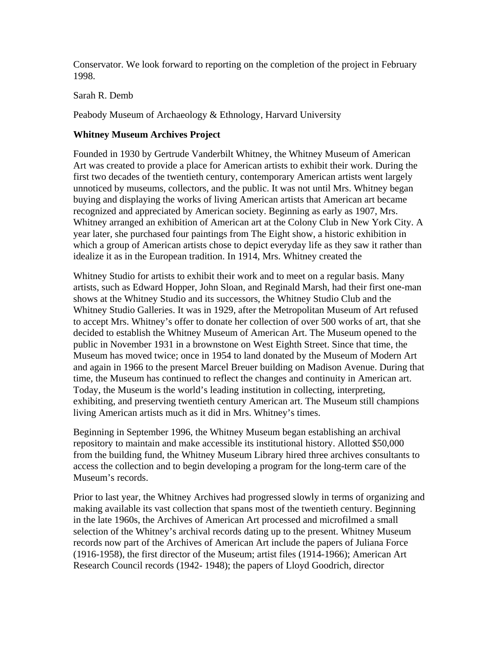Conservator. We look forward to reporting on the completion of the project in February 1998.

Sarah R. Demb

Peabody Museum of Archaeology & Ethnology, Harvard University

# **Whitney Museum Archives Project**

Founded in 1930 by Gertrude Vanderbilt Whitney, the Whitney Museum of American Art was created to provide a place for American artists to exhibit their work. During the first two decades of the twentieth century, contemporary American artists went largely unnoticed by museums, collectors, and the public. It was not until Mrs. Whitney began buying and displaying the works of living American artists that American art became recognized and appreciated by American society. Beginning as early as 1907, Mrs. Whitney arranged an exhibition of American art at the Colony Club in New York City. A year later, she purchased four paintings from The Eight show, a historic exhibition in which a group of American artists chose to depict everyday life as they saw it rather than idealize it as in the European tradition. In 1914, Mrs. Whitney created the

Whitney Studio for artists to exhibit their work and to meet on a regular basis. Many artists, such as Edward Hopper, John Sloan, and Reginald Marsh, had their first one-man shows at the Whitney Studio and its successors, the Whitney Studio Club and the Whitney Studio Galleries. It was in 1929, after the Metropolitan Museum of Art refused to accept Mrs. Whitney's offer to donate her collection of over 500 works of art, that she decided to establish the Whitney Museum of American Art. The Museum opened to the public in November 1931 in a brownstone on West Eighth Street. Since that time, the Museum has moved twice; once in 1954 to land donated by the Museum of Modern Art and again in 1966 to the present Marcel Breuer building on Madison Avenue. During that time, the Museum has continued to reflect the changes and continuity in American art. Today, the Museum is the world's leading institution in collecting, interpreting, exhibiting, and preserving twentieth century American art. The Museum still champions living American artists much as it did in Mrs. Whitney's times.

Beginning in September 1996, the Whitney Museum began establishing an archival repository to maintain and make accessible its institutional history. Allotted \$50,000 from the building fund, the Whitney Museum Library hired three archives consultants to access the collection and to begin developing a program for the long-term care of the Museum's records.

Prior to last year, the Whitney Archives had progressed slowly in terms of organizing and making available its vast collection that spans most of the twentieth century. Beginning in the late 1960s, the Archives of American Art processed and microfilmed a small selection of the Whitney's archival records dating up to the present. Whitney Museum records now part of the Archives of American Art include the papers of Juliana Force (1916-1958), the first director of the Museum; artist files (1914-1966); American Art Research Council records (1942- 1948); the papers of Lloyd Goodrich, director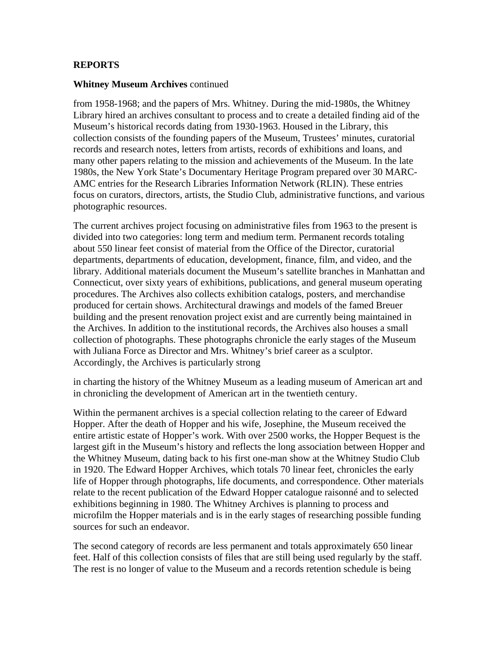### **REPORTS**

#### **Whitney Museum Archives** continued

from 1958-1968; and the papers of Mrs. Whitney. During the mid-1980s, the Whitney Library hired an archives consultant to process and to create a detailed finding aid of the Museum's historical records dating from 1930-1963. Housed in the Library, this collection consists of the founding papers of the Museum, Trustees' minutes, curatorial records and research notes, letters from artists, records of exhibitions and loans, and many other papers relating to the mission and achievements of the Museum. In the late 1980s, the New York State's Documentary Heritage Program prepared over 30 MARC-AMC entries for the Research Libraries Information Network (RLIN). These entries focus on curators, directors, artists, the Studio Club, administrative functions, and various photographic resources.

The current archives project focusing on administrative files from 1963 to the present is divided into two categories: long term and medium term. Permanent records totaling about 550 linear feet consist of material from the Office of the Director, curatorial departments, departments of education, development, finance, film, and video, and the library. Additional materials document the Museum's satellite branches in Manhattan and Connecticut, over sixty years of exhibitions, publications, and general museum operating procedures. The Archives also collects exhibition catalogs, posters, and merchandise produced for certain shows. Architectural drawings and models of the famed Breuer building and the present renovation project exist and are currently being maintained in the Archives. In addition to the institutional records, the Archives also houses a small collection of photographs. These photographs chronicle the early stages of the Museum with Juliana Force as Director and Mrs. Whitney's brief career as a sculptor. Accordingly, the Archives is particularly strong

in charting the history of the Whitney Museum as a leading museum of American art and in chronicling the development of American art in the twentieth century.

Within the permanent archives is a special collection relating to the career of Edward Hopper. After the death of Hopper and his wife, Josephine, the Museum received the entire artistic estate of Hopper's work. With over 2500 works, the Hopper Bequest is the largest gift in the Museum's history and reflects the long association between Hopper and the Whitney Museum, dating back to his first one-man show at the Whitney Studio Club in 1920. The Edward Hopper Archives, which totals 70 linear feet, chronicles the early life of Hopper through photographs, life documents, and correspondence. Other materials relate to the recent publication of the Edward Hopper catalogue raisonné and to selected exhibitions beginning in 1980. The Whitney Archives is planning to process and microfilm the Hopper materials and is in the early stages of researching possible funding sources for such an endeavor.

The second category of records are less permanent and totals approximately 650 linear feet. Half of this collection consists of files that are still being used regularly by the staff. The rest is no longer of value to the Museum and a records retention schedule is being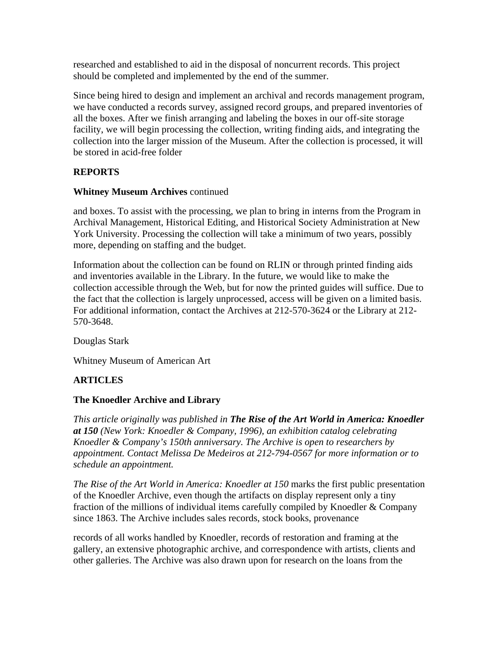researched and established to aid in the disposal of noncurrent records. This project should be completed and implemented by the end of the summer.

Since being hired to design and implement an archival and records management program, we have conducted a records survey, assigned record groups, and prepared inventories of all the boxes. After we finish arranging and labeling the boxes in our off-site storage facility, we will begin processing the collection, writing finding aids, and integrating the collection into the larger mission of the Museum. After the collection is processed, it will be stored in acid-free folder

# **REPORTS**

#### **Whitney Museum Archives** continued

and boxes. To assist with the processing, we plan to bring in interns from the Program in Archival Management, Historical Editing, and Historical Society Administration at New York University. Processing the collection will take a minimum of two years, possibly more, depending on staffing and the budget.

Information about the collection can be found on RLIN or through printed finding aids and inventories available in the Library. In the future, we would like to make the collection accessible through the Web, but for now the printed guides will suffice. Due to the fact that the collection is largely unprocessed, access will be given on a limited basis. For additional information, contact the Archives at 212-570-3624 or the Library at 212- 570-3648.

Douglas Stark

Whitney Museum of American Art

# **ARTICLES**

# **The Knoedler Archive and Library**

*This article originally was published in The Rise of the Art World in America: Knoedler at 150 (New York: Knoedler & Company, 1996), an exhibition catalog celebrating Knoedler & Company's 150th anniversary. The Archive is open to researchers by appointment. Contact Melissa De Medeiros at 212-794-0567 for more information or to schedule an appointment.* 

*The Rise of the Art World in America: Knoedler at 150 marks the first public presentation* of the Knoedler Archive, even though the artifacts on display represent only a tiny fraction of the millions of individual items carefully compiled by Knoedler & Company since 1863. The Archive includes sales records, stock books, provenance

records of all works handled by Knoedler, records of restoration and framing at the gallery, an extensive photographic archive, and correspondence with artists, clients and other galleries. The Archive was also drawn upon for research on the loans from the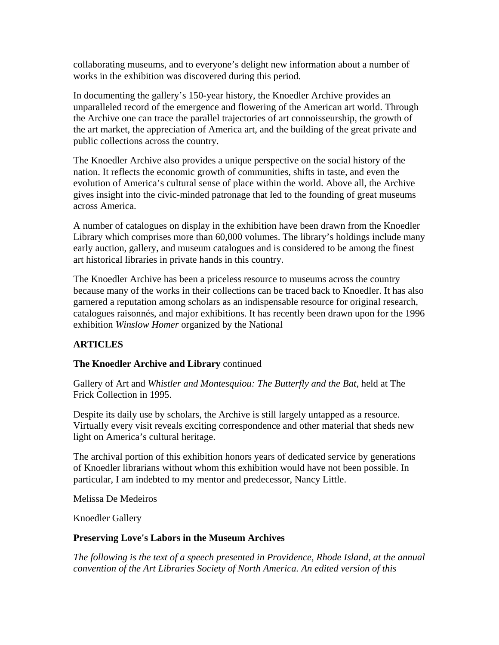collaborating museums, and to everyone's delight new information about a number of works in the exhibition was discovered during this period.

In documenting the gallery's 150-year history, the Knoedler Archive provides an unparalleled record of the emergence and flowering of the American art world. Through the Archive one can trace the parallel trajectories of art connoisseurship, the growth of the art market, the appreciation of America art, and the building of the great private and public collections across the country.

The Knoedler Archive also provides a unique perspective on the social history of the nation. It reflects the economic growth of communities, shifts in taste, and even the evolution of America's cultural sense of place within the world. Above all, the Archive gives insight into the civic-minded patronage that led to the founding of great museums across America.

A number of catalogues on display in the exhibition have been drawn from the Knoedler Library which comprises more than 60,000 volumes. The library's holdings include many early auction, gallery, and museum catalogues and is considered to be among the finest art historical libraries in private hands in this country.

The Knoedler Archive has been a priceless resource to museums across the country because many of the works in their collections can be traced back to Knoedler. It has also garnered a reputation among scholars as an indispensable resource for original research, catalogues raisonnés, and major exhibitions. It has recently been drawn upon for the 1996 exhibition *Winslow Homer* organized by the National

# **ARTICLES**

# **The Knoedler Archive and Library** continued

Gallery of Art and *Whistler and Montesquiou: The Butterfly and the Bat*, held at The Frick Collection in 1995.

Despite its daily use by scholars, the Archive is still largely untapped as a resource. Virtually every visit reveals exciting correspondence and other material that sheds new light on America's cultural heritage.

The archival portion of this exhibition honors years of dedicated service by generations of Knoedler librarians without whom this exhibition would have not been possible. In particular, I am indebted to my mentor and predecessor, Nancy Little.

Melissa De Medeiros

Knoedler Gallery

# **Preserving Love's Labors in the Museum Archives**

*The following is the text of a speech presented in Providence, Rhode Island, at the annual convention of the Art Libraries Society of North America. An edited version of this*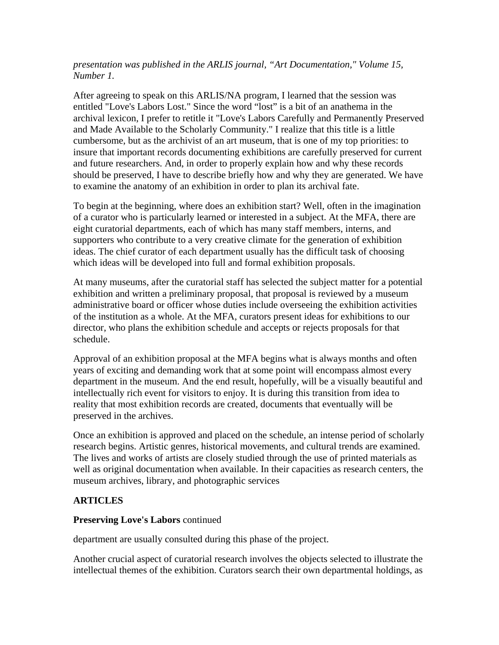#### *presentation was published in the ARLIS journal, "Art Documentation," Volume 15, Number 1.*

After agreeing to speak on this ARLIS/NA program, I learned that the session was entitled "Love's Labors Lost." Since the word "lost" is a bit of an anathema in the archival lexicon, I prefer to retitle it "Love's Labors Carefully and Permanently Preserved and Made Available to the Scholarly Community." I realize that this title is a little cumbersome, but as the archivist of an art museum, that is one of my top priorities: to insure that important records documenting exhibitions are carefully preserved for current and future researchers. And, in order to properly explain how and why these records should be preserved, I have to describe briefly how and why they are generated. We have to examine the anatomy of an exhibition in order to plan its archival fate.

To begin at the beginning, where does an exhibition start? Well, often in the imagination of a curator who is particularly learned or interested in a subject. At the MFA, there are eight curatorial departments, each of which has many staff members, interns, and supporters who contribute to a very creative climate for the generation of exhibition ideas. The chief curator of each department usually has the difficult task of choosing which ideas will be developed into full and formal exhibition proposals.

At many museums, after the curatorial staff has selected the subject matter for a potential exhibition and written a preliminary proposal, that proposal is reviewed by a museum administrative board or officer whose duties include overseeing the exhibition activities of the institution as a whole. At the MFA, curators present ideas for exhibitions to our director, who plans the exhibition schedule and accepts or rejects proposals for that schedule.

Approval of an exhibition proposal at the MFA begins what is always months and often years of exciting and demanding work that at some point will encompass almost every department in the museum. And the end result, hopefully, will be a visually beautiful and intellectually rich event for visitors to enjoy. It is during this transition from idea to reality that most exhibition records are created, documents that eventually will be preserved in the archives.

Once an exhibition is approved and placed on the schedule, an intense period of scholarly research begins. Artistic genres, historical movements, and cultural trends are examined. The lives and works of artists are closely studied through the use of printed materials as well as original documentation when available. In their capacities as research centers, the museum archives, library, and photographic services

# **ARTICLES**

# **Preserving Love's Labors** continued

department are usually consulted during this phase of the project.

Another crucial aspect of curatorial research involves the objects selected to illustrate the intellectual themes of the exhibition. Curators search their own departmental holdings, as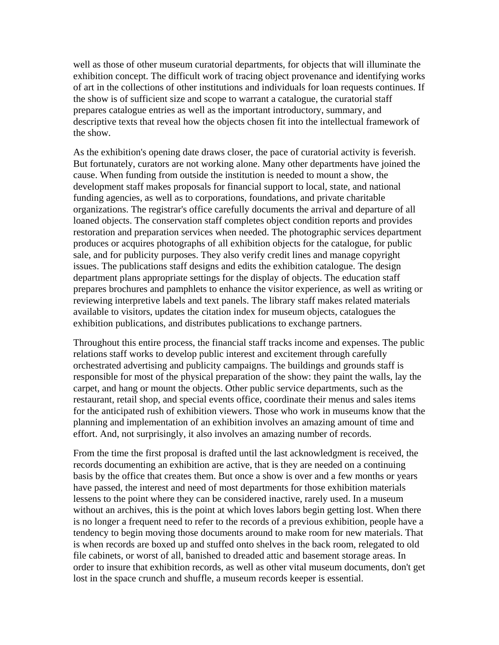well as those of other museum curatorial departments, for objects that will illuminate the exhibition concept. The difficult work of tracing object provenance and identifying works of art in the collections of other institutions and individuals for loan requests continues. If the show is of sufficient size and scope to warrant a catalogue, the curatorial staff prepares catalogue entries as well as the important introductory, summary, and descriptive texts that reveal how the objects chosen fit into the intellectual framework of the show.

As the exhibition's opening date draws closer, the pace of curatorial activity is feverish. But fortunately, curators are not working alone. Many other departments have joined the cause. When funding from outside the institution is needed to mount a show, the development staff makes proposals for financial support to local, state, and national funding agencies, as well as to corporations, foundations, and private charitable organizations. The registrar's office carefully documents the arrival and departure of all loaned objects. The conservation staff completes object condition reports and provides restoration and preparation services when needed. The photographic services department produces or acquires photographs of all exhibition objects for the catalogue, for public sale, and for publicity purposes. They also verify credit lines and manage copyright issues. The publications staff designs and edits the exhibition catalogue. The design department plans appropriate settings for the display of objects. The education staff prepares brochures and pamphlets to enhance the visitor experience, as well as writing or reviewing interpretive labels and text panels. The library staff makes related materials available to visitors, updates the citation index for museum objects, catalogues the exhibition publications, and distributes publications to exchange partners.

Throughout this entire process, the financial staff tracks income and expenses. The public relations staff works to develop public interest and excitement through carefully orchestrated advertising and publicity campaigns. The buildings and grounds staff is responsible for most of the physical preparation of the show: they paint the walls, lay the carpet, and hang or mount the objects. Other public service departments, such as the restaurant, retail shop, and special events office, coordinate their menus and sales items for the anticipated rush of exhibition viewers. Those who work in museums know that the planning and implementation of an exhibition involves an amazing amount of time and effort. And, not surprisingly, it also involves an amazing number of records.

From the time the first proposal is drafted until the last acknowledgment is received, the records documenting an exhibition are active, that is they are needed on a continuing basis by the office that creates them. But once a show is over and a few months or years have passed, the interest and need of most departments for those exhibition materials lessens to the point where they can be considered inactive, rarely used. In a museum without an archives, this is the point at which loves labors begin getting lost. When there is no longer a frequent need to refer to the records of a previous exhibition, people have a tendency to begin moving those documents around to make room for new materials. That is when records are boxed up and stuffed onto shelves in the back room, relegated to old file cabinets, or worst of all, banished to dreaded attic and basement storage areas. In order to insure that exhibition records, as well as other vital museum documents, don't get lost in the space crunch and shuffle, a museum records keeper is essential.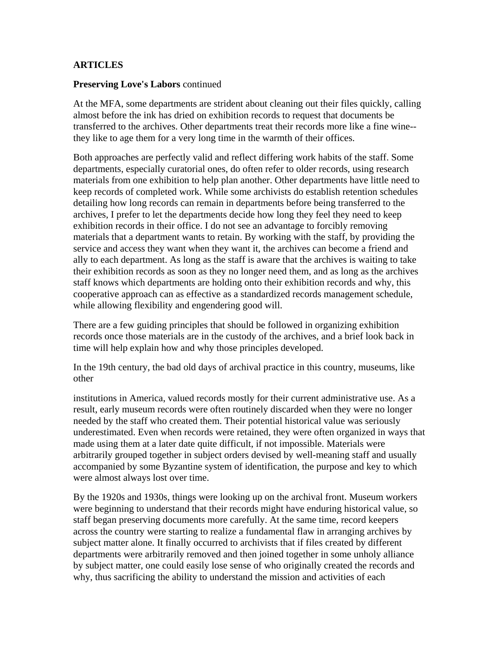#### **ARTICLES**

#### **Preserving Love's Labors** continued

At the MFA, some departments are strident about cleaning out their files quickly, calling almost before the ink has dried on exhibition records to request that documents be transferred to the archives. Other departments treat their records more like a fine wine- they like to age them for a very long time in the warmth of their offices.

Both approaches are perfectly valid and reflect differing work habits of the staff. Some departments, especially curatorial ones, do often refer to older records, using research materials from one exhibition to help plan another. Other departments have little need to keep records of completed work. While some archivists do establish retention schedules detailing how long records can remain in departments before being transferred to the archives, I prefer to let the departments decide how long they feel they need to keep exhibition records in their office. I do not see an advantage to forcibly removing materials that a department wants to retain. By working with the staff, by providing the service and access they want when they want it, the archives can become a friend and ally to each department. As long as the staff is aware that the archives is waiting to take their exhibition records as soon as they no longer need them, and as long as the archives staff knows which departments are holding onto their exhibition records and why, this cooperative approach can as effective as a standardized records management schedule, while allowing flexibility and engendering good will.

There are a few guiding principles that should be followed in organizing exhibition records once those materials are in the custody of the archives, and a brief look back in time will help explain how and why those principles developed.

In the 19th century, the bad old days of archival practice in this country, museums, like other

institutions in America, valued records mostly for their current administrative use. As a result, early museum records were often routinely discarded when they were no longer needed by the staff who created them. Their potential historical value was seriously underestimated. Even when records were retained, they were often organized in ways that made using them at a later date quite difficult, if not impossible. Materials were arbitrarily grouped together in subject orders devised by well-meaning staff and usually accompanied by some Byzantine system of identification, the purpose and key to which were almost always lost over time.

By the 1920s and 1930s, things were looking up on the archival front. Museum workers were beginning to understand that their records might have enduring historical value, so staff began preserving documents more carefully. At the same time, record keepers across the country were starting to realize a fundamental flaw in arranging archives by subject matter alone. It finally occurred to archivists that if files created by different departments were arbitrarily removed and then joined together in some unholy alliance by subject matter, one could easily lose sense of who originally created the records and why, thus sacrificing the ability to understand the mission and activities of each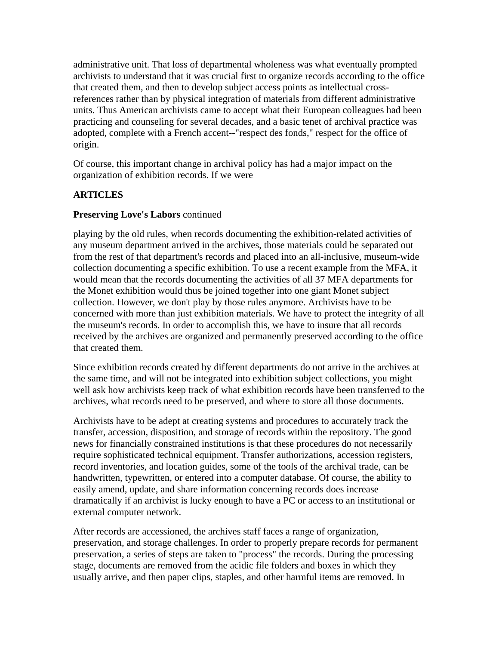administrative unit. That loss of departmental wholeness was what eventually prompted archivists to understand that it was crucial first to organize records according to the office that created them, and then to develop subject access points as intellectual crossreferences rather than by physical integration of materials from different administrative units. Thus American archivists came to accept what their European colleagues had been practicing and counseling for several decades, and a basic tenet of archival practice was adopted, complete with a French accent--"respect des fonds," respect for the office of origin.

Of course, this important change in archival policy has had a major impact on the organization of exhibition records. If we were

# **ARTICLES**

#### **Preserving Love's Labors** continued

playing by the old rules, when records documenting the exhibition-related activities of any museum department arrived in the archives, those materials could be separated out from the rest of that department's records and placed into an all-inclusive, museum-wide collection documenting a specific exhibition. To use a recent example from the MFA, it would mean that the records documenting the activities of all 37 MFA departments for the Monet exhibition would thus be joined together into one giant Monet subject collection. However, we don't play by those rules anymore. Archivists have to be concerned with more than just exhibition materials. We have to protect the integrity of all the museum's records. In order to accomplish this, we have to insure that all records received by the archives are organized and permanently preserved according to the office that created them.

Since exhibition records created by different departments do not arrive in the archives at the same time, and will not be integrated into exhibition subject collections, you might well ask how archivists keep track of what exhibition records have been transferred to the archives, what records need to be preserved, and where to store all those documents.

Archivists have to be adept at creating systems and procedures to accurately track the transfer, accession, disposition, and storage of records within the repository. The good news for financially constrained institutions is that these procedures do not necessarily require sophisticated technical equipment. Transfer authorizations, accession registers, record inventories, and location guides, some of the tools of the archival trade, can be handwritten, typewritten, or entered into a computer database. Of course, the ability to easily amend, update, and share information concerning records does increase dramatically if an archivist is lucky enough to have a PC or access to an institutional or external computer network.

After records are accessioned, the archives staff faces a range of organization, preservation, and storage challenges. In order to properly prepare records for permanent preservation, a series of steps are taken to "process" the records. During the processing stage, documents are removed from the acidic file folders and boxes in which they usually arrive, and then paper clips, staples, and other harmful items are removed. In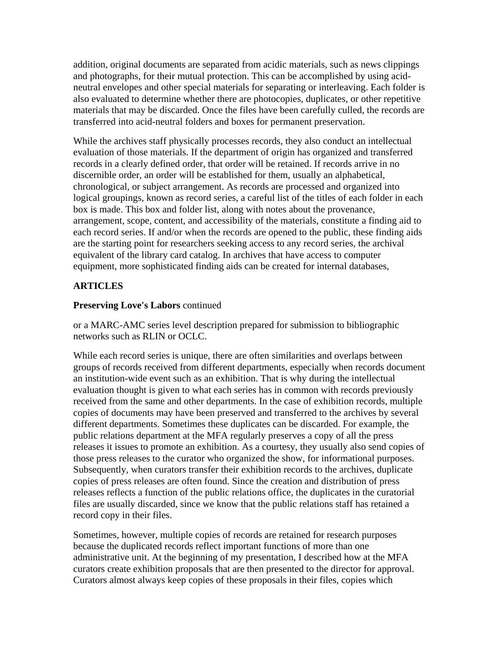addition, original documents are separated from acidic materials, such as news clippings and photographs, for their mutual protection. This can be accomplished by using acidneutral envelopes and other special materials for separating or interleaving. Each folder is also evaluated to determine whether there are photocopies, duplicates, or other repetitive materials that may be discarded. Once the files have been carefully culled, the records are transferred into acid-neutral folders and boxes for permanent preservation.

While the archives staff physically processes records, they also conduct an intellectual evaluation of those materials. If the department of origin has organized and transferred records in a clearly defined order, that order will be retained. If records arrive in no discernible order, an order will be established for them, usually an alphabetical, chronological, or subject arrangement. As records are processed and organized into logical groupings, known as record series, a careful list of the titles of each folder in each box is made. This box and folder list, along with notes about the provenance, arrangement, scope, content, and accessibility of the materials, constitute a finding aid to each record series. If and/or when the records are opened to the public, these finding aids are the starting point for researchers seeking access to any record series, the archival equivalent of the library card catalog. In archives that have access to computer equipment, more sophisticated finding aids can be created for internal databases,

# **ARTICLES**

# **Preserving Love's Labors** continued

or a MARC-AMC series level description prepared for submission to bibliographic networks such as RLIN or OCLC.

While each record series is unique, there are often similarities and overlaps between groups of records received from different departments, especially when records document an institution-wide event such as an exhibition. That is why during the intellectual evaluation thought is given to what each series has in common with records previously received from the same and other departments. In the case of exhibition records, multiple copies of documents may have been preserved and transferred to the archives by several different departments. Sometimes these duplicates can be discarded. For example, the public relations department at the MFA regularly preserves a copy of all the press releases it issues to promote an exhibition. As a courtesy, they usually also send copies of those press releases to the curator who organized the show, for informational purposes. Subsequently, when curators transfer their exhibition records to the archives, duplicate copies of press releases are often found. Since the creation and distribution of press releases reflects a function of the public relations office, the duplicates in the curatorial files are usually discarded, since we know that the public relations staff has retained a record copy in their files.

Sometimes, however, multiple copies of records are retained for research purposes because the duplicated records reflect important functions of more than one administrative unit. At the beginning of my presentation, I described how at the MFA curators create exhibition proposals that are then presented to the director for approval. Curators almost always keep copies of these proposals in their files, copies which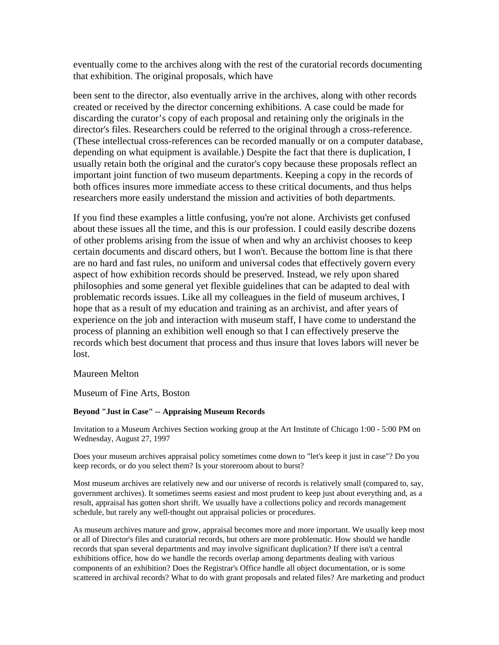eventually come to the archives along with the rest of the curatorial records documenting that exhibition. The original proposals, which have

been sent to the director, also eventually arrive in the archives, along with other records created or received by the director concerning exhibitions. A case could be made for discarding the curator's copy of each proposal and retaining only the originals in the director's files. Researchers could be referred to the original through a cross-reference. (These intellectual cross-references can be recorded manually or on a computer database, depending on what equipment is available.) Despite the fact that there is duplication, I usually retain both the original and the curator's copy because these proposals reflect an important joint function of two museum departments. Keeping a copy in the records of both offices insures more immediate access to these critical documents, and thus helps researchers more easily understand the mission and activities of both departments.

If you find these examples a little confusing, you're not alone. Archivists get confused about these issues all the time, and this is our profession. I could easily describe dozens of other problems arising from the issue of when and why an archivist chooses to keep certain documents and discard others, but I won't. Because the bottom line is that there are no hard and fast rules, no uniform and universal codes that effectively govern every aspect of how exhibition records should be preserved. Instead, we rely upon shared philosophies and some general yet flexible guidelines that can be adapted to deal with problematic records issues. Like all my colleagues in the field of museum archives, I hope that as a result of my education and training as an archivist, and after years of experience on the job and interaction with museum staff, I have come to understand the process of planning an exhibition well enough so that I can effectively preserve the records which best document that process and thus insure that loves labors will never be lost.

#### Maureen Melton

Museum of Fine Arts, Boston

#### **Beyond "Just in Case" -- Appraising Museum Records**

Invitation to a Museum Archives Section working group at the Art Institute of Chicago 1:00 - 5:00 PM on Wednesday, August 27, 1997

Does your museum archives appraisal policy sometimes come down to "let's keep it just in case"? Do you keep records, or do you select them? Is your storeroom about to burst?

Most museum archives are relatively new and our universe of records is relatively small (compared to, say, government archives). It sometimes seems easiest and most prudent to keep just about everything and, as a result, appraisal has gotten short shrift. We usually have a collections policy and records management schedule, but rarely any well-thought out appraisal policies or procedures.

As museum archives mature and grow, appraisal becomes more and more important. We usually keep most or all of Director's files and curatorial records, but others are more problematic. How should we handle records that span several departments and may involve significant duplication? If there isn't a central exhibitions office, how do we handle the records overlap among departments dealing with various components of an exhibition? Does the Registrar's Office handle all object documentation, or is some scattered in archival records? What to do with grant proposals and related files? Are marketing and product